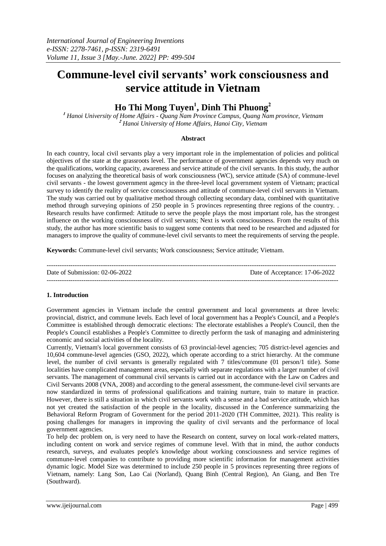# **Commune-level civil servants' work consciousness and service attitude in Vietnam**

# **Ho Thi Mong Tuyen<sup>1</sup> , Dinh Thi Phuong<sup>2</sup>**

**<sup>1</sup>** *Hanoi University of Home Affairs - Quang Nam Province Campus, Quang Nam province, Vietnam* **<sup>2</sup>** *Hanoi University of Home Affairs, Hanoi City, Vietnam*

#### **Abstract**

In each country, local civil servants play a very important role in the implementation of policies and political objectives of the state at the grassroots level. The performance of government agencies depends very much on the qualifications, working capacity, awareness and service attitude of the civil servants. In this study, the author focuses on analyzing the theoretical basis of work consciousness (WC), service attitude (SA) of commune-level civil servants - the lowest government agency in the three-level local government system of Vietnam; practical survey to identify the reality of service consciousness and attitude of commune-level civil servants in Vietnam. The study was carried out by qualitative method through collecting secondary data, combined with quantitative method through surveying opinions of 250 people in 5 provinces representing three regions of the country. . Research results have confirmed: Attitude to serve the people plays the most important role, has the strongest influence on the working consciousness of civil servants; Next is work consciousness. From the results of this study, the author has more scientific basis to suggest some contents that need to be researched and adjusted for managers to improve the quality of commune-level civil servants to meet the requirements of serving the people.

**Keywords:** Commune-level civil servants; Work consciousness; Service attitude; Vietnam.

-------------------------------------------------------------------------------------------------------------------------------------- Date of Submission: 02-06-2022 Date of Acceptance: 17-06-2022 ---------------------------------------------------------------------------------------------------------------------------------------

#### **1. Introduction**

Government agencies in Vietnam include the central government and local governments at three levels: provincial, district, and commune levels. Each level of local government has a People's Council, and a People's Committee is established through democratic elections: The electorate establishes a People's Council, then the People's Council establishes a People's Committee to directly perform the task of managing and administering economic and social activities of the locality.

Currently, Vietnam's local government consists of 63 provincial-level agencies; 705 district-level agencies and 10,604 commune-level agencies (GSO, 2022), which operate according to a strict hierarchy. At the commune level, the number of civil servants is generally regulated with 7 titles/commune (01 person/1 title). Some localities have complicated management areas, especially with separate regulations with a larger number of civil servants. The management of communal civil servants is carried out in accordance with the Law on Cadres and Civil Servants 2008 (VNA, 2008) and according to the general assessment, the commune-level civil servants are now standardized in terms of professional qualifications and training nurture, train to mature in practice. However, there is still a situation in which civil servants work with a sense and a bad service attitude, which has not yet created the satisfaction of the people in the locality, discussed in the Conference summarizing the Behavioral Reform Program of Government for the period 2011-2020 (TH Committee, 2021). This reality is posing challenges for managers in improving the quality of civil servants and the performance of local government agencies.

To help dec problem on, is very need to have the Research on content, survey on local work-related matters, including content on work and service regimes of commune level. With that in mind, the author conducts research, surveys, and evaluates people's knowledge about working consciousness and service regimes of commune-level companies to contribute to providing more scientific information for management activities dynamic logic. Model Size was determined to include 250 people in 5 provinces representing three regions of Vietnam, namely: Lang Son, Lao Cai (Norland), Quang Binh (Central Region), An Giang, and Ben Tre (Southward).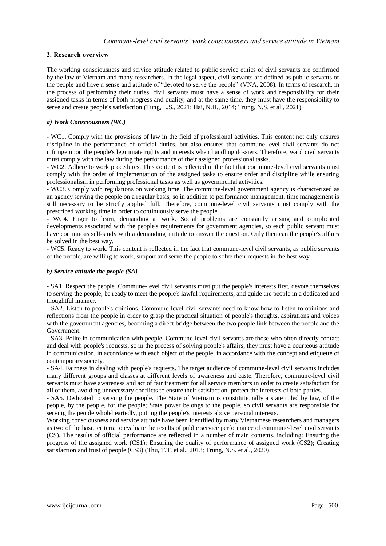### **2. Research overview**

The working consciousness and service attitude related to public service ethics of civil servants are confirmed by the law of Vietnam and many researchers. In the legal aspect, civil servants are defined as public servants of the people and have a sense and attitude of "devoted to serve the people" (VNA, 2008). In terms of research, in the process of performing their duties, civil servants must have a sense of work and responsibility for their assigned tasks in terms of both progress and quality, and at the same time, they must have the responsibility to serve and create people's satisfaction (Tung, L.S., 2021; Hai, N.H., 2014; Trung, N.S. et al., 2021).

### *a) Work Consciousness (WC)*

- WC1. Comply with the provisions of law in the field of professional activities. This content not only ensures discipline in the performance of official duties, but also ensures that commune-level civil servants do not infringe upon the people's legitimate rights and interests when handling dossiers. Therefore, ward civil servants must comply with the law during the performance of their assigned professional tasks.

- WC2. Adhere to work procedures. This content is reflected in the fact that commune-level civil servants must comply with the order of implementation of the assigned tasks to ensure order and discipline while ensuring professionalism in performing professional tasks as well as governmental activities.

- WC3. Comply with regulations on working time. The commune-level government agency is characterized as an agency serving the people on a regular basis, so in addition to performance management, time management is still necessary to be strictly applied full. Therefore, commune-level civil servants must comply with the prescribed working time in order to continuously serve the people.

- WC4. Eager to learn, demanding at work. Social problems are constantly arising and complicated developments associated with the people's requirements for government agencies, so each public servant must have continuous self-study with a demanding attitude to answer the question. Only then can the people's affairs be solved in the best way.

- WC5. Ready to work. This content is reflected in the fact that commune-level civil servants, as public servants of the people, are willing to work, support and serve the people to solve their requests in the best way.

#### *b) Service attitude the people (SA)*

- SA1. Respect the people. Commune-level civil servants must put the people's interests first, devote themselves to serving the people, be ready to meet the people's lawful requirements, and guide the people in a dedicated and thoughtful manner.

- SA2. Listen to people's opinions. Commune-level civil servants need to know how to listen to opinions and reflections from the people in order to grasp the practical situation of people's thoughts, aspirations and voices with the government agencies, becoming a direct bridge between the two people link between the people and the Government.

- SA3. Polite in communication with people. Commune-level civil servants are those who often directly contact and deal with people's requests, so in the process of solving people's affairs, they must have a courteous attitude in communication, in accordance with each object of the people, in accordance with the concept and etiquette of contemporary society.

- SA4. Fairness in dealing with people's requests. The target audience of commune-level civil servants includes many different groups and classes at different levels of awareness and caste. Therefore, commune-level civil servants must have awareness and act of fair treatment for all service members in order to create satisfaction for all of them, avoiding unnecessary conflicts to ensure their satisfaction. protect the interests of both parties.

- SA5. Dedicated to serving the people. The State of Vietnam is constitutionally a state ruled by law, of the people, by the people, for the people; State power belongs to the people, so civil servants are responsible for serving the people wholeheartedly, putting the people's interests above personal interests.

Working consciousness and service attitude have been identified by many Vietnamese researchers and managers as two of the basic criteria to evaluate the results of public service performance of commune-level civil servants (CS). The results of official performance are reflected in a number of main contents, including: Ensuring the progress of the assigned work (CS1); Ensuring the quality of performance of assigned work (CS2); Creating satisfaction and trust of people (CS3) (Thu, T.T. et al., 2013; Trung, N.S. et al., 2020).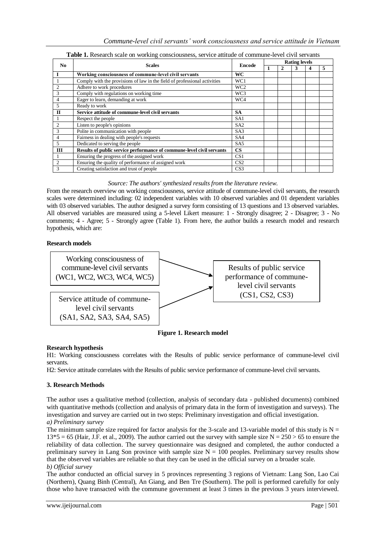| N <sub>0</sub> |                                                                           |                 | <b>Rating levels</b> |  |   |   |   |  |
|----------------|---------------------------------------------------------------------------|-----------------|----------------------|--|---|---|---|--|
|                | <b>Scales</b>                                                             | <b>Encode</b>   |                      |  | 3 | 4 | 5 |  |
|                | Working consciousness of commune-level civil servants                     | WС              |                      |  |   |   |   |  |
|                | Comply with the provisions of law in the field of professional activities | WC1             |                      |  |   |   |   |  |
| $\overline{2}$ | Adhere to work procedures                                                 | WC <sub>2</sub> |                      |  |   |   |   |  |
| 3              | Comply with regulations on working time                                   | WC3             |                      |  |   |   |   |  |
| 4              | Eager to learn, demanding at work                                         | WC4             |                      |  |   |   |   |  |
| 5              | Ready to work                                                             |                 |                      |  |   |   |   |  |
| $\mathbf{H}$   | Service attitude of commune-level civil servants                          | <b>SA</b>       |                      |  |   |   |   |  |
|                | Respect the people                                                        | SA <sub>1</sub> |                      |  |   |   |   |  |
| $\overline{c}$ | Listen to people's opinions                                               | SA <sub>2</sub> |                      |  |   |   |   |  |
| 3              | Polite in communication with people                                       | SA <sub>3</sub> |                      |  |   |   |   |  |
| $\overline{4}$ | Fairness in dealing with people's requests                                | SA <sub>4</sub> |                      |  |   |   |   |  |
| 5              | Dedicated to serving the people                                           | SA <sub>5</sub> |                      |  |   |   |   |  |
| <b>III</b>     | Results of public service performance of commune-level civil servants     | $\mathbf{CS}$   |                      |  |   |   |   |  |
|                | Ensuring the progress of the assigned work                                | CS <sub>1</sub> |                      |  |   |   |   |  |
| $\overline{c}$ | Ensuring the quality of performance of assigned work                      | CS <sub>2</sub> |                      |  |   |   |   |  |
| 3              | Creating satisfaction and trust of people                                 | CS <sub>3</sub> |                      |  |   |   |   |  |

**Table 1.** Research scale on working consciousness, service attitude of commune-level civil servants

### *Source: The authors' synthesized results from the literature review.*

From the research overview on working consciousness, service attitude of commune-level civil servants, the research scales were determined including: 02 independent variables with 10 observed variables and 01 dependent variables with 03 observed variables. The author designed a survey form consisting of 13 questions and 13 observed variables. All observed variables are measured using a 5-level Likert measure: 1 - Strongly disagree; 2 - Disagree; 3 - No comments; 4 - Agree; 5 - Strongly agree (Table 1). From here, the author builds a research model and research hypothesis, which are:

# **Research models**



**Figure 1. Research model**

# **Research hypothesis**

H1: Working consciousness correlates with the Results of public service performance of commune-level civil servants.

H2: Service attitude correlates with the Results of public service performance of commune-level civil servants.

# **3. Research Methods**

The author uses a qualitative method (collection, analysis of secondary data - published documents) combined with quantitative methods (collection and analysis of primary data in the form of investigation and surveys). The investigation and survey are carried out in two steps: Preliminary investigation and official investigation. *a) Preliminary survey*

The minimum sample size required for factor analysis for the 3-scale and 13-variable model of this study is  $N =$  $13*5 = 65$  (Hair, J.F. et al., 2009). The author carried out the survey with sample size N = 250 > 65 to ensure the reliability of data collection. The survey questionnaire was designed and completed, the author conducted a preliminary survey in Lang Son province with sample size  $N = 100$  peoples. Preliminary survey results show that the observed variables are reliable so that they can be used in the official survey on a broader scale. *b) Official survey*

The author conducted an official survey in 5 provinces representing 3 regions of Vietnam: Lang Son, Lao Cai (Northern), Quang Binh (Central), An Giang, and Ben Tre (Southern). The poll is performed carefully for only those who have transacted with the commune government at least 3 times in the previous 3 years interviewed.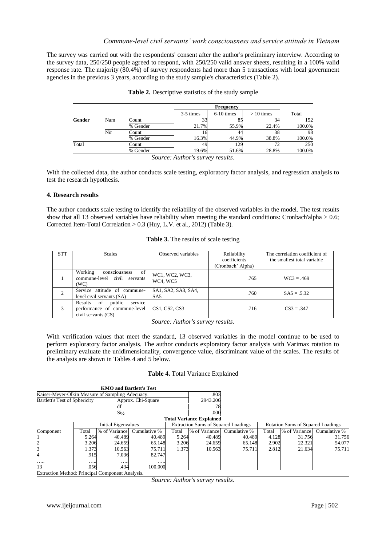The survey was carried out with the respondents' consent after the author's preliminary interview. According to the survey data, 250/250 people agreed to respond, with 250/250 valid answer sheets, resulting in a 100% valid response rate. The majority (80.4%) of survey respondents had more than 5 transactions with local government agencies in the previous 3 years, according to the study sample's characteristics (Table 2).

|               |     |          |           | Frequency  |             |        |
|---------------|-----|----------|-----------|------------|-------------|--------|
|               |     |          | 3-5 times | 6-10 times | $>10$ times | Total  |
| <b>Gender</b> | Nam | Count    |           | 85         | 34          | 152    |
|               |     | % Gender | 21.7%     | 55.9%      | 22.4%       | 100.0% |
|               | Nữ  | Count    |           | 44         | 38          | 98     |
|               |     | % Gender | 16.3%     | 44.9%      | 38.8%       | 100.0% |
| Total         |     | Count    | 49        | 129        | 72          | 250    |
|               |     | % Gender | 19.6%     | 51.6%      | 28.8%       | 100.0% |

#### **Table 2.** Descriptive statistics of the study sample

*Source: Author's survey results.*

With the collected data, the author conducts scale testing, exploratory factor analysis, and regression analysis to test the research hypothesis.

#### **4. Research results**

The author conducts scale testing to identify the reliability of the observed variables in the model. The test results show that all 13 observed variables have reliability when meeting the standard conditions: Cronbach'alpha > 0.6; Corrected Item-Total Correlation > 0.3 (Huy, L.V. et al., 2012) (Table 3).

|  | <b>Table 3.</b> The results of scale testing |  |  |
|--|----------------------------------------------|--|--|
|--|----------------------------------------------|--|--|

| <b>STT</b>     | <b>Scales</b>                                                                          | Observed variables                     | Reliability<br>coefficients<br>(Cronbach' Alpha) | The correlation coefficient of<br>the smallest total variable |
|----------------|----------------------------------------------------------------------------------------|----------------------------------------|--------------------------------------------------|---------------------------------------------------------------|
|                | Working<br>of<br>consciousness<br>commune-level civil servants<br>WC)                  | WC1, WC2, WC3,<br>WC4, WC5             | .765                                             | $WC3 = .469$                                                  |
| $\overline{2}$ | Service attitude of commune-<br>level civil servants (SA)                              | SA1, SA2, SA3, SA4,<br>SA <sub>5</sub> | .760                                             | $SAS = .5.32$                                                 |
| 3              | service<br>public<br>Results of<br>performance of commune-level<br>civil servants (CS) | CS1, CS2, CS3                          | .716                                             | $CS3 = .347$                                                  |

*Source: Author's survey results.*

With verification values that meet the standard, 13 observed variables in the model continue to be used to perform exploratory factor analysis. The author conducts exploratory factor analysis with Varimax rotation to preliminary evaluate the unidimensionality, convergence value, discriminant value of the scales. The results of the analysis are shown in Tables 4 and 5 below.

| Table 4. Total Variance Explained |
|-----------------------------------|
|-----------------------------------|

|                                                            |                     | <b>KMO and Bartlett's Test</b> |              |       |                                            |              |                                          |               |              |
|------------------------------------------------------------|---------------------|--------------------------------|--------------|-------|--------------------------------------------|--------------|------------------------------------------|---------------|--------------|
| Kaiser-Meyer-Olkin Measure of Sampling Adequacy.           |                     |                                |              |       | .803                                       |              |                                          |               |              |
| <b>Bartlett's Test of Sphericity</b><br>Approx. Chi-Square |                     |                                |              |       | 2943.206                                   |              |                                          |               |              |
|                                                            |                     | df                             |              |       | 78                                         |              |                                          |               |              |
|                                                            |                     | Sig.                           |              |       | .000                                       |              |                                          |               |              |
|                                                            |                     |                                |              |       | <b>Total Variance Explained</b>            |              |                                          |               |              |
|                                                            | Initial Eigenvalues |                                |              |       | <b>Extraction Sums of Squared Loadings</b> |              | <b>Rotation Sums of Squared Loadings</b> |               |              |
| Component                                                  | Total               | % of Variance                  | Cumulative % | Total | % of Variance                              | Cumulative % | Total                                    | % of Variance | Cumulative % |
|                                                            | 5.264               | 40.489                         | 40.489       | 5.264 | 40.489                                     | 40.489       | 4.128                                    | 31.756        | 31.756       |
| 2                                                          | 3.206               | 24.659                         | 65.148       | 3.206 | 24.659                                     | 65.148       | 2.902                                    | 22.321        | 54.077       |
|                                                            | 1.373               | 10.563                         | 75.711       | 1.373 | 10.563                                     | 75.711       | 2.812                                    | 21.634        | 75.711       |
| 4                                                          | .915                | 7.036                          | 82.747       |       |                                            |              |                                          |               |              |
| .                                                          | .                   | .                              | .            |       |                                            |              |                                          |               |              |
| 13                                                         | .056                | .434                           | 100.000      |       |                                            |              |                                          |               |              |
| Extraction Method: Principal Component Analysis.           |                     |                                |              |       |                                            |              |                                          |               |              |

*Source: Author's survey results.*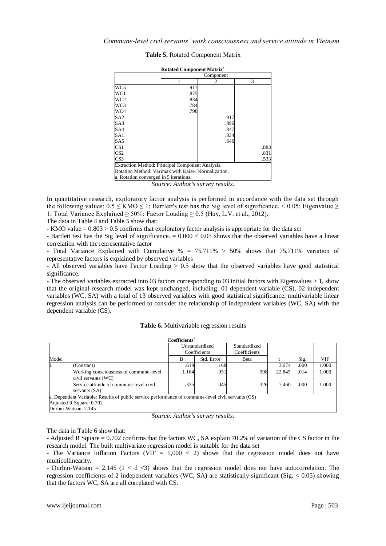| <b>Rotated Component Matrix<sup>a</sup></b>         |      |           |      |  |  |  |  |
|-----------------------------------------------------|------|-----------|------|--|--|--|--|
|                                                     |      | Component |      |  |  |  |  |
|                                                     |      |           | 3    |  |  |  |  |
| WC5                                                 | .917 |           |      |  |  |  |  |
| WC1                                                 | .875 |           |      |  |  |  |  |
| WC2                                                 | .834 |           |      |  |  |  |  |
| WC3                                                 | .784 |           |      |  |  |  |  |
| WC4                                                 | .798 |           |      |  |  |  |  |
| SA2                                                 |      | .917      |      |  |  |  |  |
| SA3                                                 |      | .896      |      |  |  |  |  |
| SA4                                                 |      | .847      |      |  |  |  |  |
| SA1                                                 |      | .834      |      |  |  |  |  |
| SA <sub>5</sub>                                     |      | .646      |      |  |  |  |  |
| CS <sub>1</sub>                                     |      |           | .883 |  |  |  |  |
| CS <sub>2</sub>                                     |      |           | .831 |  |  |  |  |
| CS <sub>3</sub>                                     |      |           | .533 |  |  |  |  |
| Extraction Method: Principal Component Analysis.    |      |           |      |  |  |  |  |
| Rotation Method: Varimax with Kaiser Normalization. |      |           |      |  |  |  |  |
| a. Rotation converged in 5 iterations.              |      |           |      |  |  |  |  |

#### **Table 5.** Rotated Component Matrix

*Source: Author's survey results.*

In quantitative research, exploratory factor analysis is performed in accordance with the data set through the following values:  $0.5 \leq KMO \leq 1$ ; Bartlett's test has the Sig level of significance.  $\leq 0.05$ ; Eigenvalue  $\geq$ 1; Total Variance Explained  $\geq 50\%$ ; Factor Loading  $\geq 0.5$  (Huy, L.V. et al., 2012).

The data in Table 4 and Table 5 show that:

- KMO value = 0.803 > 0.5 confirms that exploratory factor analysis is appropriate for the data set

- Bartlett test has the Sig level of significance.  $= 0.000 < 0.05$  shows that the observed variables have a linear correlation with the representative factor

- Total Variance Explained with Cumulative % = 75.711% > 50% shows that 75.711% variation of representative factors is explained by observed variables

- All observed variables have Factor Loading > 0.5 show that the observed variables have good statistical significance.

- The observed variables extracted into 03 factors corresponding to 03 initial factors with Eigenvalues > 1, show that the original research model was kept unchanged, including: 01 dependent variable (CS), 02 independent variables (WC, SA) with a total of 13 observed variables with good statistical significance, multivariable linear regression analysis can be performed to consider the relationship of independent variables (WC, SA) with the dependent variable (CS).

#### **Table 6.** Multivariable regression results

| Coefficients <sup>a</sup>                                                         |                                                                                                   |      |              |              |       |               |       |  |  |  |
|-----------------------------------------------------------------------------------|---------------------------------------------------------------------------------------------------|------|--------------|--------------|-------|---------------|-------|--|--|--|
| Standardized<br>Unstandardized                                                    |                                                                                                   |      |              |              |       |               |       |  |  |  |
|                                                                                   |                                                                                                   |      | Coefficients | Coefficients |       |               |       |  |  |  |
| Model                                                                             |                                                                                                   | B    | Std. Error   | Beta         |       | Sig.          | VIF   |  |  |  |
|                                                                                   | (Constant)                                                                                        | .619 | .168         |              | 3.674 | .000          | 1.000 |  |  |  |
| Working consciousness of commune-level<br>.051<br>22.845<br>.014<br>.998<br>1.164 |                                                                                                   |      |              |              |       |               |       |  |  |  |
| civil servants (WC)                                                               |                                                                                                   |      |              |              |       |               |       |  |  |  |
| Service attitude of commune-level civil<br>.335<br>.045<br>.326                   |                                                                                                   |      |              |              |       | .000<br>7.460 | 1.000 |  |  |  |
|                                                                                   | servants (SA)                                                                                     |      |              |              |       |               |       |  |  |  |
|                                                                                   | a. Dependent Variable: Results of public service performance of commune-level civil servants (CS) |      |              |              |       |               |       |  |  |  |
|                                                                                   | Adjusted R Square: 0.702                                                                          |      |              |              |       |               |       |  |  |  |
| Durbin-Watson: 2.145                                                              |                                                                                                   |      |              |              |       |               |       |  |  |  |

*Source: Author's survey results.*

The data in Table 6 show that:

- Adjusted R Square = 0.702 confirms that the factors WC, SA explain 70.2% of variation of the CS factor in the research model. The built multivariate regression model is suitable for the data set

- The Variance Inflation Factors (VIF  $= 1,000 < 2$ ) shows that the regression model does not have multicollinearity.

- Durbin-Watson = 2.145 ( $1 < d < 3$ ) shows that the regression model does not have autocorrelation. The regression coefficients of 2 independent variables (WC, SA) are statistically significant (Sig.  $< 0.05$ ) showing that the factors WC, SA are all correlated with CS.